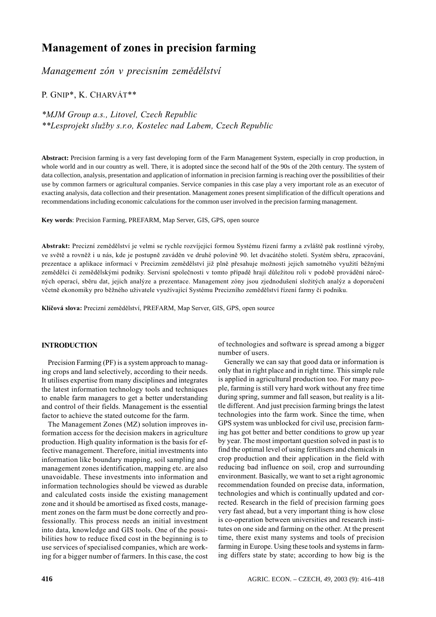# **Management of zones in precision farming**

Management zón v precisním zemědělství

P. GNIP\*, K. CHARVÁT\*\*

\*MJM Group a.s., Litovel, Czech Republic \*\*Lesprojekt služby s.r.o, Kostelec nad Labem, Czech Republic

**Abstract:** Precision farming is a very fast developing form of the Farm Management System, especially in crop production, in whole world and in our country as well. There, it is adopted since the second half of the 90s of the 20th century. The system of data collection, analysis, presentation and application of information in precision farming is reaching over the possibilities of their use by common farmers or agricultural companies. Service companies in this case play a very important role as an executor of exacting analysis, data collection and their presentation. Management zones present simplification of the difficult operations and recommendations including economic calculations for the common user involved in the precision farming management.

**Key words**: Precision Farming, PREFARM, Map Server, GIS, GPS, open source

Abstrakt: Precizní zemědělství je velmi se rychle rozvíjející formou Systému řízení farmy a zvláště pak rostlinné výroby, ve světě a rovněž i u nás, kde je postupně zaváděn ve druhé polovině 90. let dvacátého století. Systém sběru, zpracování, prezentace a aplikace informací v Precizním zemědělství již plně přesahuje možnosti jejich samotného využití běžnými zemědělci či zemědělskými podniky. Servisní společnosti v tomto případě hrají důležitou roli v podobě provádění náročných operací, sběru dat, jejich analýze a prezentace. Management zóny jsou zjednodušení složitých analýz a doporučení včetně ekonomiky pro běžného uživatele využívající Systému Precizního zemědělství řízení farmy či podniku.

Klíčová slova: Precizní zemědělství, PREFARM, Map Server, GIS, GPS, open source

## **INTRODUCTION**

Precision Farming (PF) is a system approach to managing crops and land selectively, according to their needs. It utilises expertise from many disciplines and integrates the latest information technology tools and techniques to enable farm managers to get a better understanding and control of their fields. Management is the essential factor to achieve the stated outcome for the farm.

The Management Zones (MZ) solution improves information access for the decision makers in agriculture production. High quality information is the basis for effective management. Therefore, initial investments into information like boundary mapping, soil sampling and management zones identification, mapping etc. are also unavoidable. These investments into information and information technologies should be viewed as durable and calculated costs inside the existing management zone and it should be amortised as fixed costs, management zones on the farm must be done correctly and professionally. This process needs an initial investment into data, knowledge and GIS tools. One of the possibilities how to reduce fixed cost in the beginning is to use services of specialised companies, which are working for a bigger number of farmers. In this case, the cost

of technologies and software is spread among a bigger number of users.

Generally we can say that good data or information is only that in right place and in right time. This simple rule is applied in agricultural production too. For many people, farming is still very hard work without any free time during spring, summer and fall season, but reality is a little different. And just precision farming brings the latest technologies into the farm work. Since the time, when GPS system was unblocked for civil use, precision farming has got better and better conditions to grow up year by year. The most important question solved in past is to find the optimal level of using fertilisers and chemicals in crop production and their application in the field with reducing bad influence on soil, crop and surrounding environment. Basically, we want to set a right agronomic recommendation founded on precise data, information, technologies and which is continually updated and corrected. Research in the field of precision farming goes very fast ahead, but a very important thing is how close is co-operation between universities and research institutes on one side and farming on the other. At the present time, there exist many systems and tools of precision farming in Europe. Using these tools and systems in farming differs state by state; according to how big is the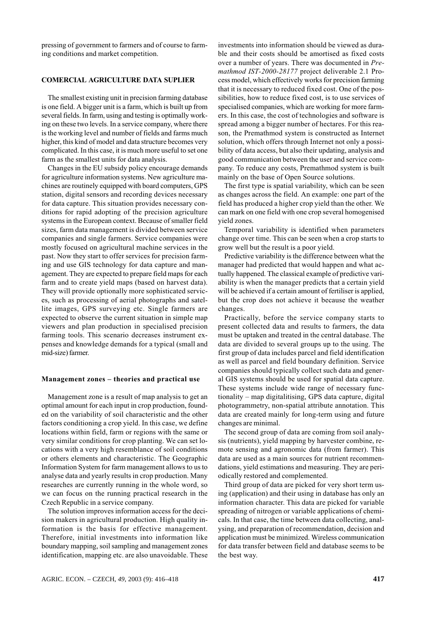pressing of government to farmers and of course to farming conditions and market competition.

## **COMERCIAL AGRICULTURE DATA SUPLIER**

The smallest existing unit in precision farming database is one field. A bigger unit is a farm, which is built up from several fields. In farm, using and testing is optimally working on these two levels. In a service company, where there is the working level and number of fields and farms much higher, this kind of model and data structure becomes very complicated. In this case, it is much more useful to set one farm as the smallest units for data analysis.

Changes in the EU subsidy policy encourage demands for agriculture information systems. New agriculture machines are routinely equipped with board computers, GPS station, digital sensors and recording devices necessary for data capture. This situation provides necessary conditions for rapid adopting of the precision agriculture systems in the European context. Because of smaller field sizes, farm data management is divided between service companies and single farmers. Service companies were mostly focused on agricultural machine services in the past. Now they start to offer services for precision farming and use GIS technology for data capture and management. They are expected to prepare field maps for each farm and to create yield maps (based on harvest data). They will provide optionally more sophisticated services, such as processing of aerial photographs and satellite images, GPS surveying etc. Single farmers are expected to observe the current situation in simple map viewers and plan production in specialised precision farming tools. This scenario decreases instrument expenses and knowledge demands for a typical (small and mid-size) farmer.

## Management zones - theories and practical use

Management zone is a result of map analysis to get an optimal amount for each input in crop production, founded on the variability of soil characteristic and the other factors conditioning a crop yield. In this case, we define locations within field, farm or regions with the same or very similar conditions for crop planting. We can set locations with a very high resemblance of soil conditions or others elements and characteristic. The Geographic Information System for farm management allows to us to analyse data and yearly results in crop production. Many researches are currently running in the whole word, so we can focus on the running practical research in the Czech Republic in a service company.

The solution improves information access for the decision makers in agricultural production. High quality information is the basis for effective management. Therefore, initial investments into information like boundary mapping, soil sampling and management zones identification, mapping etc. are also unavoidable. These investments into information should be viewed as durable and their costs should be amortised as fixed costs over a number of vears. There was documented in Premathmod IST-2000-28177 project deliverable 2.1 Process model, which effectively works for precision farming that it is necessary to reduced fixed cost. One of the possibilities, how to reduce fixed cost, is to use services of specialised companies, which are working for more farmers. In this case, the cost of technologies and software is spread among a bigger number of hectares. For this reason, the Premathmod system is constructed as Internet solution, which offers through Internet not only a possibility of data access, but also their updating, analysis and good communication between the user and service company. To reduce any costs, Premathmod system is built mainly on the base of Open Source solutions.

The first type is spatial variability, which can be seen as changes across the field. An example: one part of the field has produced a higher crop yield than the other. We can mark on one field with one crop several homogenised vield zones.

Temporal variability is identified when parameters change over time. This can be seen when a crop starts to grow well but the result is a poor yield.

Predictive variability is the difference between what the manager had predicted that would happen and what actually happened. The classical example of predictive variability is when the manager predicts that a certain yield will be achieved if a certain amount of fertiliser is applied, but the crop does not achieve it because the weather changes.

Practically, before the service company starts to present collected data and results to farmers, the data must be uptaken and treated in the central database. The data are divided to several groups up to the using. The first group of data includes parcel and field identification as well as parcel and field boundary definition. Service companies should typically collect such data and general GIS systems should be used for spatial data capture. These systems include wide range of necessary functionality - map digitalitising, GPS data capture, digital photogrammetry, non-spatial attribute annotation. This data are created mainly for long-term using and future changes are minimal.

The second group of data are coming from soil analysis (nutrients), yield mapping by harvester combine, remote sensing and agronomic data (from farmer). This data are used as a main sources for nutrient recommendations, yield estimations and measuring. They are periodically restored and complemented.

Third group of data are picked for very short term using (application) and their using in database has only an information character. This data are picked for variable spreading of nitrogen or variable applications of chemicals. In that case, the time between data collecting, analysing, and preparation of recommendation, decision and application must be minimized. Wireless communication for data transfer between field and database seems to be the best way.